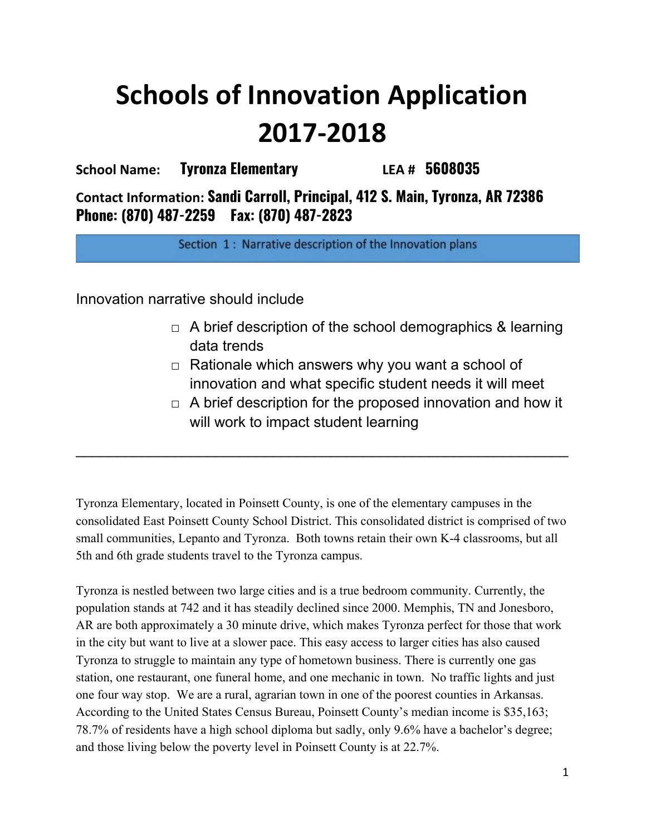# **Schools of Innovation Application 2017-2018**

**School Name: Tyronza Elementary LEA # 5608035**

**Contact Information: Sandi Carroll, Principal, 412 S. Main, Tyronza, AR 72386 Phone: (870) 487-2259 Fax: (870) 487-2823**

Section 1: Narrative description of the Innovation plans

Innovation narrative should include

- $\Box$  A brief description of the school demographics & learning data trends
- $\Box$  Rationale which answers why you want a school of innovation and what specific student needs it will meet
- $\Box$  A brief description for the proposed innovation and how it will work to impact student learning

Tyronza Elementary, located in Poinsett County, is one of the elementary campuses in the consolidated East Poinsett County School District. This consolidated district is comprised of two small communities, Lepanto and Tyronza. Both towns retain their own K-4 classrooms, but all 5th and 6th grade students travel to the Tyronza campus.

 $\_$ 

Tyronza is nestled between two large cities and is a true bedroom community. Currently, the population stands at 742 and it has steadily declined since 2000. Memphis, TN and Jonesboro, AR are both approximately a 30 minute drive, which makes Tyronza perfect for those that work in the city but want to live at a slower pace. This easy access to larger cities has also caused Tyronza to struggle to maintain any type of hometown business. There is currently one gas station, one restaurant, one funeral home, and one mechanic in town. No traffic lights and just one four way stop. We are a rural, agrarian town in one of the poorest counties in Arkansas. According to the United States Census Bureau, Poinsett County's median income is \$35,163; 78.7% of residents have a high school diploma but sadly, only 9.6% have a bachelor's degree; and those living below the poverty level in Poinsett County is at 22.7%.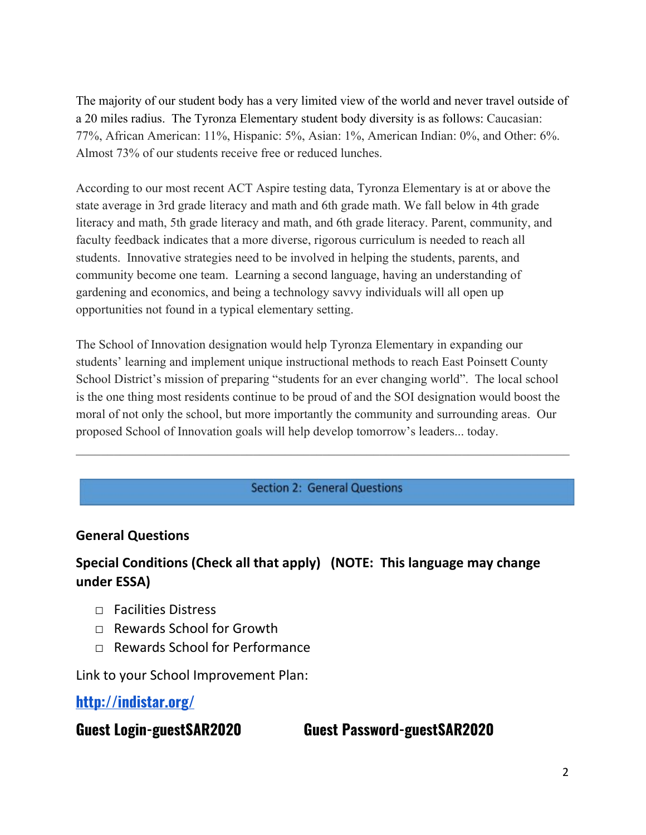The majority of our student body has a very limited view of the world and never travel outside of a 20 miles radius. The Tyronza Elementary student body diversity is as follows: Caucasian: 77%, African American: 11%, Hispanic: 5%, Asian: 1%, American Indian: 0%, and Other: 6%. Almost 73% of our students receive free or reduced lunches.

According to our most recent ACT Aspire testing data, Tyronza Elementary is at or above the state average in 3rd grade literacy and math and 6th grade math. We fall below in 4th grade literacy and math, 5th grade literacy and math, and 6th grade literacy. Parent, community, and faculty feedback indicates that a more diverse, rigorous curriculum is needed to reach all students. Innovative strategies need to be involved in helping the students, parents, and community become one team. Learning a second language, having an understanding of gardening and economics, and being a technology savvy individuals will all open up opportunities not found in a typical elementary setting.

The School of Innovation designation would help Tyronza Elementary in expanding our students' learning and implement unique instructional methods to reach East Poinsett County School District's mission of preparing "students for an ever changing world". The local school is the one thing most residents continue to be proud of and the SOI designation would boost the moral of not only the school, but more importantly the community and surrounding areas. Our proposed School of Innovation goals will help develop tomorrow's leaders... today.

## **Section 2: General Questions**

 $\mathcal{L}_\mathcal{L} = \{ \mathcal{L}_\mathcal{L} = \{ \mathcal{L}_\mathcal{L} = \{ \mathcal{L}_\mathcal{L} = \{ \mathcal{L}_\mathcal{L} = \{ \mathcal{L}_\mathcal{L} = \{ \mathcal{L}_\mathcal{L} = \{ \mathcal{L}_\mathcal{L} = \{ \mathcal{L}_\mathcal{L} = \{ \mathcal{L}_\mathcal{L} = \{ \mathcal{L}_\mathcal{L} = \{ \mathcal{L}_\mathcal{L} = \{ \mathcal{L}_\mathcal{L} = \{ \mathcal{L}_\mathcal{L} = \{ \mathcal{L}_\mathcal{$ 

## **General Questions**

# **Special Conditions (Check all that apply) (NOTE: This language may change under ESSA)**

- $\Box$  Facilities Distress
- □ Rewards School for Growth
- $\neg$  Rewards School for Performance

Link to your School Improvement Plan:

**<http://indistar.org/>**

**Guest Login-guestSAR2020 Guest Password-guestSAR2020**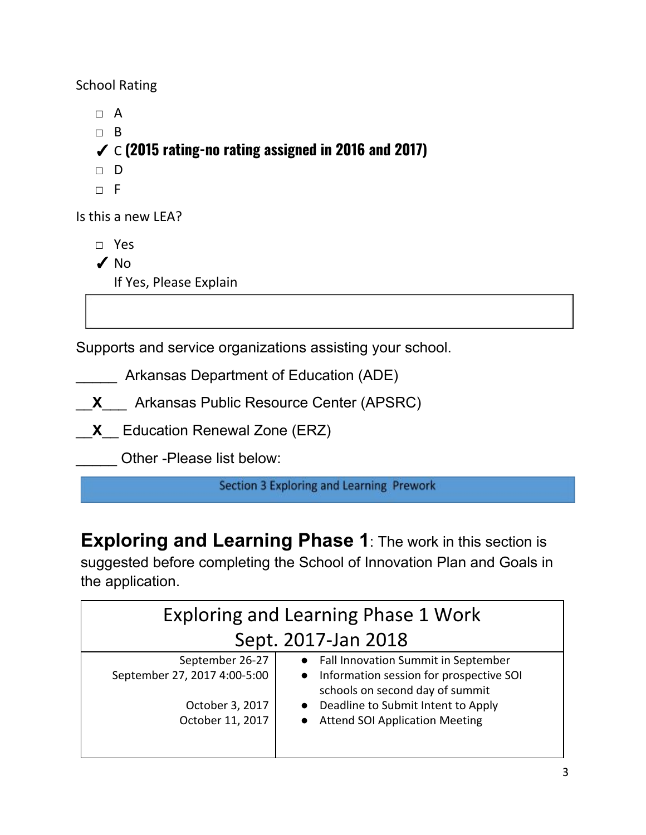School Rating

□ A □ B ✓ C **(2015 rating-no rating assigned in 2016 and 2017)** □ D  $\neg$  F

Is this a new LEA?

□ Yes

 $\sqrt{NQ}$ 

If Yes, Please Explain

Supports and service organizations assisting your school.

**EXECUTE:** Arkansas Department of Education (ADE)

\_\_**X**\_\_\_ Arkansas Public Resource Center (APSRC)

\_\_**X**\_\_ Education Renewal Zone (ERZ)

\_\_\_\_\_ Other -Please list below:

Section 3 Exploring and Learning Prework

**Exploring and Learning Phase 1**: The work in this section is suggested before completing the School of Innovation Plan and Goals in the application.

| <b>Exploring and Learning Phase 1 Work</b> |                                                                                         |  |  |  |
|--------------------------------------------|-----------------------------------------------------------------------------------------|--|--|--|
| Sept. 2017-Jan 2018                        |                                                                                         |  |  |  |
| September 26-27                            | Fall Innovation Summit in September<br>$\bullet$                                        |  |  |  |
| September 27, 2017 4:00-5:00               | Information session for prospective SOI<br>$\bullet$<br>schools on second day of summit |  |  |  |
| October 3, 2017                            | Deadline to Submit Intent to Apply                                                      |  |  |  |
| October 11, 2017                           | <b>Attend SOI Application Meeting</b>                                                   |  |  |  |
|                                            |                                                                                         |  |  |  |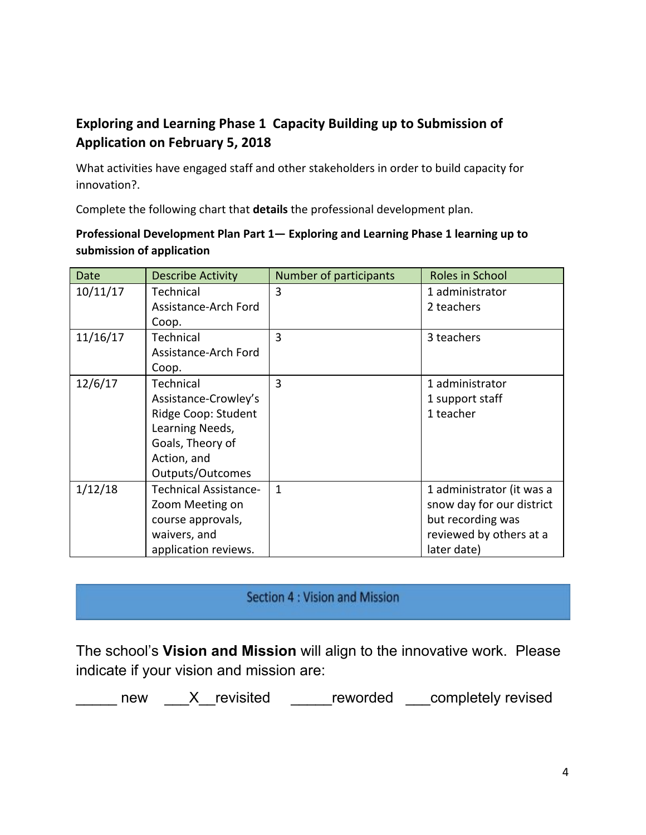# **Exploring and Learning Phase 1 Capacity Building up to Submission of Application on February 5, 2018**

What activities have engaged staff and other stakeholders in order to build capacity for innovation?.

Complete the following chart that **details** the professional development plan.

## **Professional Development Plan Part 1— Exploring and Learning Phase 1 learning up to submission of application**

| <b>Date</b> | <b>Describe Activity</b>     | Number of participants | Roles in School           |
|-------------|------------------------------|------------------------|---------------------------|
| 10/11/17    | Technical                    | 3                      | 1 administrator           |
|             | Assistance-Arch Ford         |                        | 2 teachers                |
|             | Coop.                        |                        |                           |
| 11/16/17    | Technical                    | $\overline{3}$         | 3 teachers                |
|             | Assistance-Arch Ford         |                        |                           |
|             | Coop.                        |                        |                           |
| 12/6/17     | Technical                    | $\overline{3}$         | 1 administrator           |
|             | Assistance-Crowley's         |                        | 1 support staff           |
|             | Ridge Coop: Student          |                        | 1 teacher                 |
|             | Learning Needs,              |                        |                           |
|             | Goals, Theory of             |                        |                           |
|             | Action, and                  |                        |                           |
|             | Outputs/Outcomes             |                        |                           |
| 1/12/18     | <b>Technical Assistance-</b> | $\mathbf{1}$           | 1 administrator (it was a |
|             | Zoom Meeting on              |                        | snow day for our district |
|             | course approvals,            |                        | but recording was         |
|             | waivers, and                 |                        | reviewed by others at a   |
|             | application reviews.         |                        | later date)               |

# Section 4 : Vision and Mission

The school's **Vision and Mission** will align to the innovative work. Please indicate if your vision and mission are:

\_\_\_\_\_ new \_\_\_X\_revisited \_\_\_\_\_reworded \_\_\_completely revised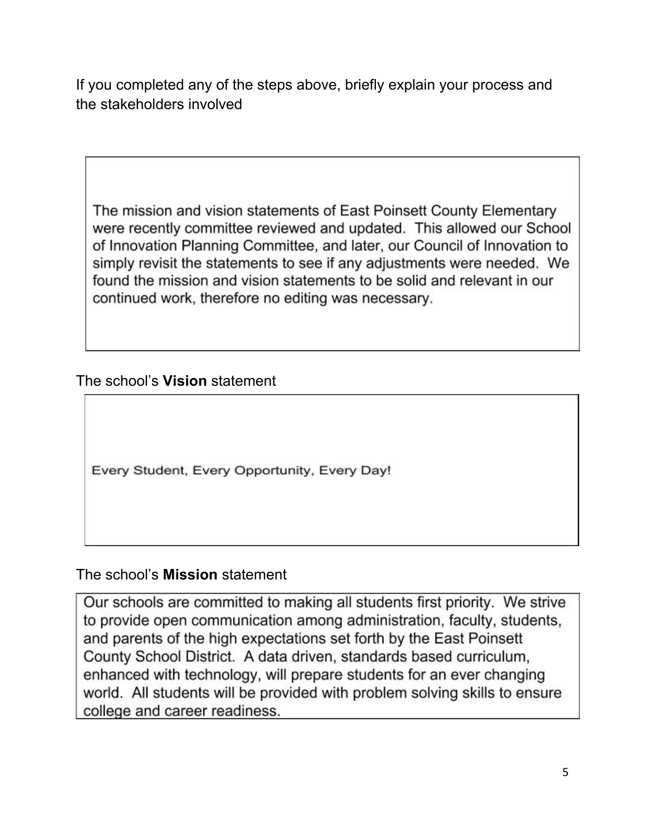If you completed any of the steps above, briefly explain your process and the stakeholders involved

The mission and vision statements of East Poinsett County Elementary were recently committee reviewed and updated. This allowed our School of Innovation Planning Committee, and later, our Council of Innovation to simply revisit the statements to see if any adjustments were needed. We found the mission and vision statements to be solid and relevant in our continued work, therefore no editing was necessary.

The school's **Vision** statement

Every Student, Every Opportunity, Every Day!

The school's **Mission** statement

Our schools are committed to making all students first priority. We strive to provide open communication among administration, faculty, students, and parents of the high expectations set forth by the East Poinsett County School District. A data driven, standards based curriculum, enhanced with technology, will prepare students for an ever changing world. All students will be provided with problem solving skills to ensure college and career readiness.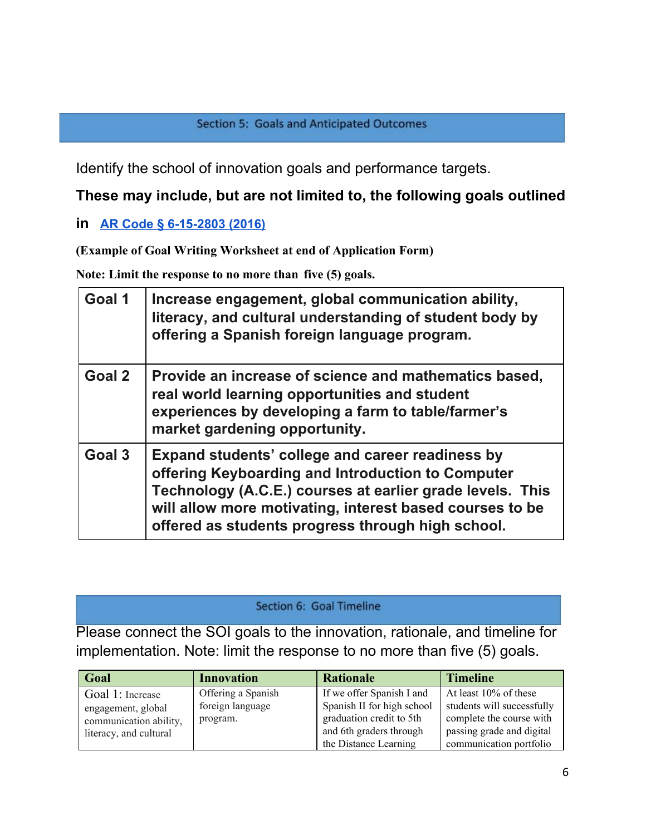Identify the school of innovation goals and performance targets.

# **These may include, but are not limited to, the following goals outlined**

# **in [AR Code § 6-15-2803 \(2016\)](http://law.justia.com/codes/arkansas/2016/title-6/subtitle-2/chapter-15/subchapter-28/section-6-15-2803)**

**(Example of Goal Writing Worksheet at end of Application Form)**

**Note: Limit the response to no more than five (5) goals.**

| Goal 1 | Increase engagement, global communication ability,<br>literacy, and cultural understanding of student body by<br>offering a Spanish foreign language program.                                                                                                                       |
|--------|-------------------------------------------------------------------------------------------------------------------------------------------------------------------------------------------------------------------------------------------------------------------------------------|
| Goal 2 | Provide an increase of science and mathematics based,<br>real world learning opportunities and student<br>experiences by developing a farm to table/farmer's<br>market gardening opportunity.                                                                                       |
| Goal 3 | Expand students' college and career readiness by<br>offering Keyboarding and Introduction to Computer<br>Technology (A.C.E.) courses at earlier grade levels. This<br>will allow more motivating, interest based courses to be<br>offered as students progress through high school. |

#### Section 6: Goal Timeline

Please connect the SOI goals to the innovation, rationale, and timeline for implementation. Note: limit the response to no more than five (5) goals.

| Goal                   | <b>Innovation</b>  | <b>Rationale</b>           | <b>Timeline</b>            |
|------------------------|--------------------|----------------------------|----------------------------|
| Goal 1: Increase       | Offering a Spanish | If we offer Spanish I and  | At least $10\%$ of these   |
| engagement, global     | foreign language   | Spanish II for high school | students will successfully |
| communication ability, | program.           | graduation credit to 5th   | complete the course with   |
| literacy, and cultural |                    | and 6th graders through    | passing grade and digital  |
|                        |                    | the Distance Learning      | communication portfolio    |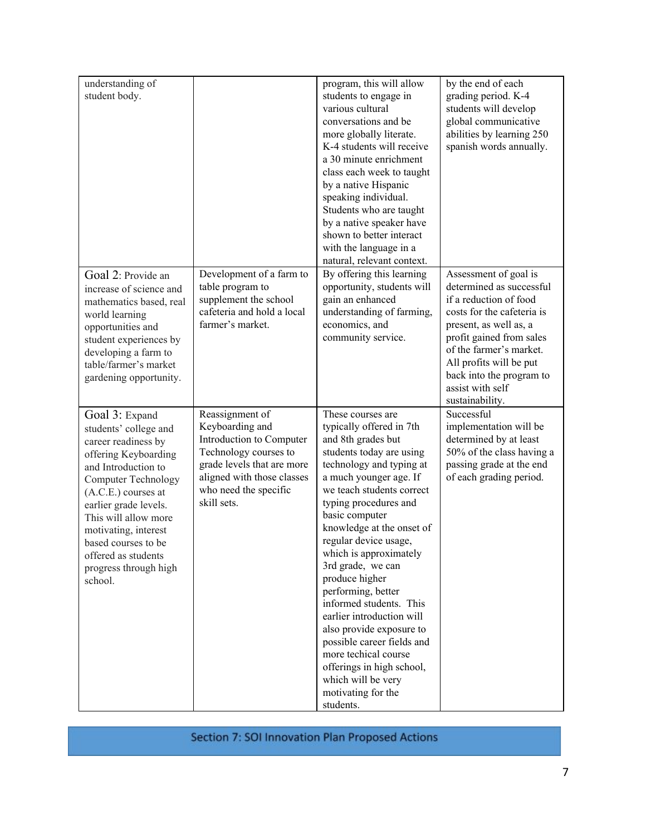| understanding of<br>student body.                                                                                                                                                                                                                                                                                               |                                                                                                                                                                                             | program, this will allow<br>students to engage in<br>various cultural<br>conversations and be<br>more globally literate.<br>K-4 students will receive<br>a 30 minute enrichment<br>class each week to taught<br>by a native Hispanic<br>speaking individual.<br>Students who are taught<br>by a native speaker have<br>shown to better interact                                                                                                                                                                                                                                                            | by the end of each<br>grading period. K-4<br>students will develop<br>global communicative<br>abilities by learning 250<br>spanish words annually.                                                                                                                                       |
|---------------------------------------------------------------------------------------------------------------------------------------------------------------------------------------------------------------------------------------------------------------------------------------------------------------------------------|---------------------------------------------------------------------------------------------------------------------------------------------------------------------------------------------|------------------------------------------------------------------------------------------------------------------------------------------------------------------------------------------------------------------------------------------------------------------------------------------------------------------------------------------------------------------------------------------------------------------------------------------------------------------------------------------------------------------------------------------------------------------------------------------------------------|------------------------------------------------------------------------------------------------------------------------------------------------------------------------------------------------------------------------------------------------------------------------------------------|
| Goal 2: Provide an<br>increase of science and<br>mathematics based, real<br>world learning<br>opportunities and<br>student experiences by<br>developing a farm to<br>table/farmer's market<br>gardening opportunity.                                                                                                            | Development of a farm to<br>table program to<br>supplement the school<br>cafeteria and hold a local<br>farmer's market.                                                                     | with the language in a<br>natural, relevant context.<br>By offering this learning<br>opportunity, students will<br>gain an enhanced<br>understanding of farming,<br>economics, and<br>community service.                                                                                                                                                                                                                                                                                                                                                                                                   | Assessment of goal is<br>determined as successful<br>if a reduction of food<br>costs for the cafeteria is<br>present, as well as, a<br>profit gained from sales<br>of the farmer's market.<br>All profits will be put<br>back into the program to<br>assist with self<br>sustainability. |
| Goal 3: Expand<br>students' college and<br>career readiness by<br>offering Keyboarding<br>and Introduction to<br><b>Computer Technology</b><br>$(A.C.E.)$ courses at<br>earlier grade levels.<br>This will allow more<br>motivating, interest<br>based courses to be<br>offered as students<br>progress through high<br>school. | Reassignment of<br>Keyboarding and<br>Introduction to Computer<br>Technology courses to<br>grade levels that are more<br>aligned with those classes<br>who need the specific<br>skill sets. | These courses are<br>typically offered in 7th<br>and 8th grades but<br>students today are using<br>technology and typing at<br>a much younger age. If<br>we teach students correct<br>typing procedures and<br>basic computer<br>knowledge at the onset of<br>regular device usage,<br>which is approximately<br>3rd grade, we can<br>produce higher<br>performing, better<br>informed students. This<br>earlier introduction will<br>also provide exposure to<br>possible career fields and<br>more techical course<br>offerings in high school,<br>which will be very<br>motivating for the<br>students. | Successful<br>implementation will be<br>determined by at least<br>50% of the class having a<br>passing grade at the end<br>of each grading period.                                                                                                                                       |

Section 7: SOI Innovation Plan Proposed Actions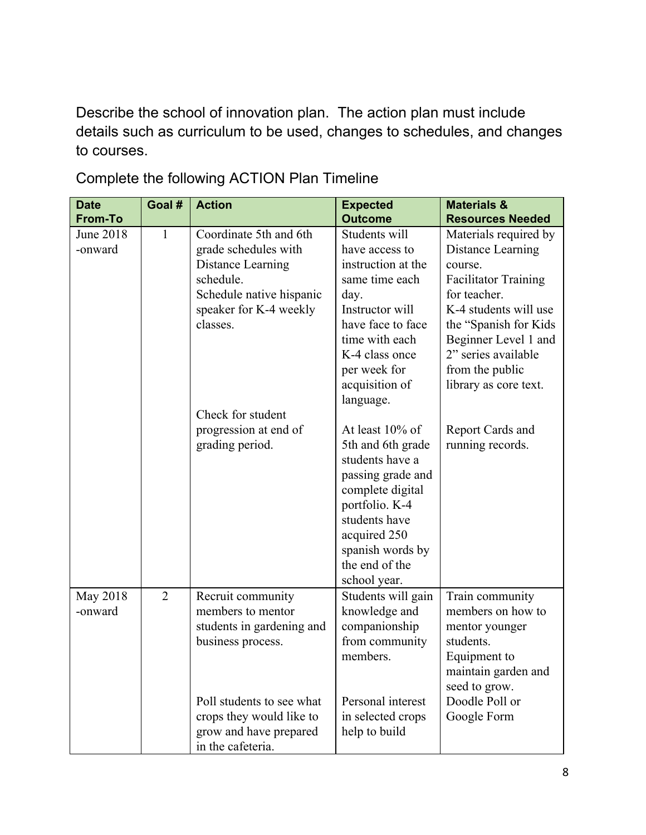Describe the school of innovation plan. The action plan must include details such as curriculum to be used, changes to schedules, and changes to courses.

| <b>Date</b>          | Goal #         | <b>Action</b>                                                                                                                                                                                    | <b>Expected</b>                                                                                                                                                                                                        | <b>Materials &amp;</b>                                                                                                                                                                                                                             |
|----------------------|----------------|--------------------------------------------------------------------------------------------------------------------------------------------------------------------------------------------------|------------------------------------------------------------------------------------------------------------------------------------------------------------------------------------------------------------------------|----------------------------------------------------------------------------------------------------------------------------------------------------------------------------------------------------------------------------------------------------|
| <b>From-To</b>       |                |                                                                                                                                                                                                  | <b>Outcome</b>                                                                                                                                                                                                         | <b>Resources Needed</b>                                                                                                                                                                                                                            |
| June 2018<br>-onward | $\mathbf{1}$   | Coordinate 5th and 6th<br>grade schedules with<br>Distance Learning<br>schedule.<br>Schedule native hispanic<br>speaker for K-4 weekly<br>classes.                                               | Students will<br>have access to<br>instruction at the<br>same time each<br>day.<br>Instructor will<br>have face to face<br>time with each<br>K-4 class once<br>per week for<br>acquisition of                          | Materials required by<br>Distance Learning<br>course.<br><b>Facilitator Training</b><br>for teacher.<br>K-4 students will use<br>the "Spanish for Kids"<br>Beginner Level 1 and<br>2" series available<br>from the public<br>library as core text. |
|                      |                | Check for student<br>progression at end of<br>grading period.                                                                                                                                    | language.<br>At least 10% of<br>5th and 6th grade<br>students have a<br>passing grade and<br>complete digital<br>portfolio. K-4<br>students have<br>acquired 250<br>spanish words by<br>the end of the<br>school year. | Report Cards and<br>running records.                                                                                                                                                                                                               |
| May 2018<br>-onward  | $\overline{2}$ | Recruit community<br>members to mentor<br>students in gardening and<br>business process.<br>Poll students to see what<br>crops they would like to<br>grow and have prepared<br>in the cafeteria. | Students will gain<br>knowledge and<br>companionship<br>from community<br>members.<br>Personal interest<br>in selected crops<br>help to build                                                                          | Train community<br>members on how to<br>mentor younger<br>students.<br>Equipment to<br>maintain garden and<br>seed to grow.<br>Doodle Poll or<br>Google Form                                                                                       |

Complete the following ACTION Plan Timeline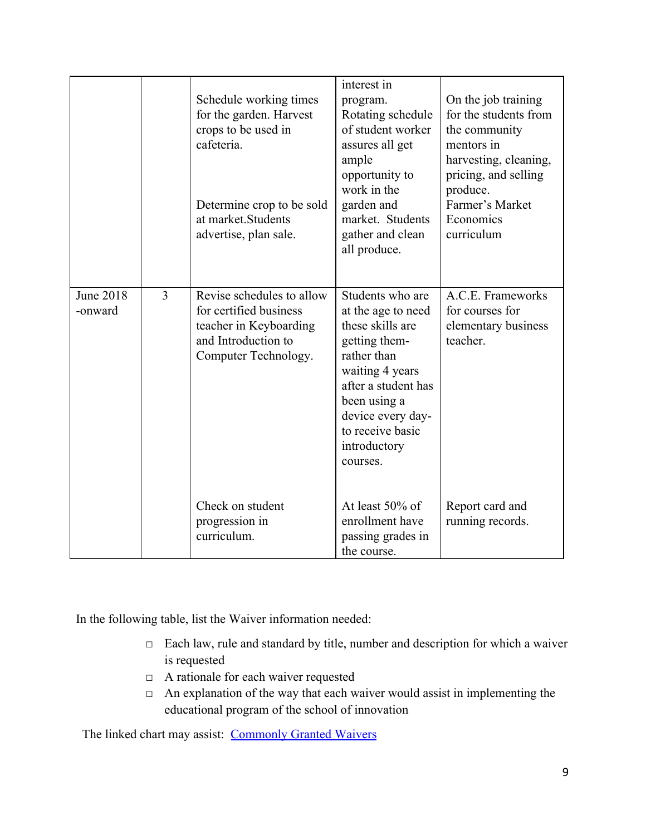|                             |   | Schedule working times<br>for the garden. Harvest<br>crops to be used in<br>cafeteria.<br>Determine crop to be sold<br>at market. Students<br>advertise, plan sale. | interest in<br>program.<br>Rotating schedule<br>of student worker<br>assures all get<br>ample<br>opportunity to<br>work in the<br>garden and<br>market. Students<br>gather and clean<br>all produce.                      | On the job training<br>for the students from<br>the community<br>mentors in<br>harvesting, cleaning,<br>pricing, and selling<br>produce.<br>Farmer's Market<br>Economics<br>curriculum |
|-----------------------------|---|---------------------------------------------------------------------------------------------------------------------------------------------------------------------|---------------------------------------------------------------------------------------------------------------------------------------------------------------------------------------------------------------------------|----------------------------------------------------------------------------------------------------------------------------------------------------------------------------------------|
| <b>June 2018</b><br>-onward | 3 | Revise schedules to allow<br>for certified business<br>teacher in Keyboarding<br>and Introduction to<br>Computer Technology.                                        | Students who are<br>at the age to need<br>these skills are<br>getting them-<br>rather than<br>waiting 4 years<br>after a student has<br>been using a<br>device every day-<br>to receive basic<br>introductory<br>courses. | A.C.E. Frameworks<br>for courses for<br>elementary business<br>teacher.                                                                                                                |
|                             |   | Check on student<br>progression in<br>curriculum.                                                                                                                   | At least 50% of<br>enrollment have<br>passing grades in<br>the course.                                                                                                                                                    | Report card and<br>running records.                                                                                                                                                    |

In the following table, list the Waiver information needed:

- □ Each law, rule and standard by title, number and description for which a waiver is requested
- □ A rationale for each waiver requested
- $\Box$  An explanation of the way that each waiver would assist in implementing the educational program of the school of innovation

The linked chart may assist: [Commonly Granted Waivers](http://www.arkansased.gov/public/userfiles/Learning_Services/Charter%20and%20Home%20School/Charter%20School-Division%20of%20Learning%20Services/Applications/Waiver_Document.pdf)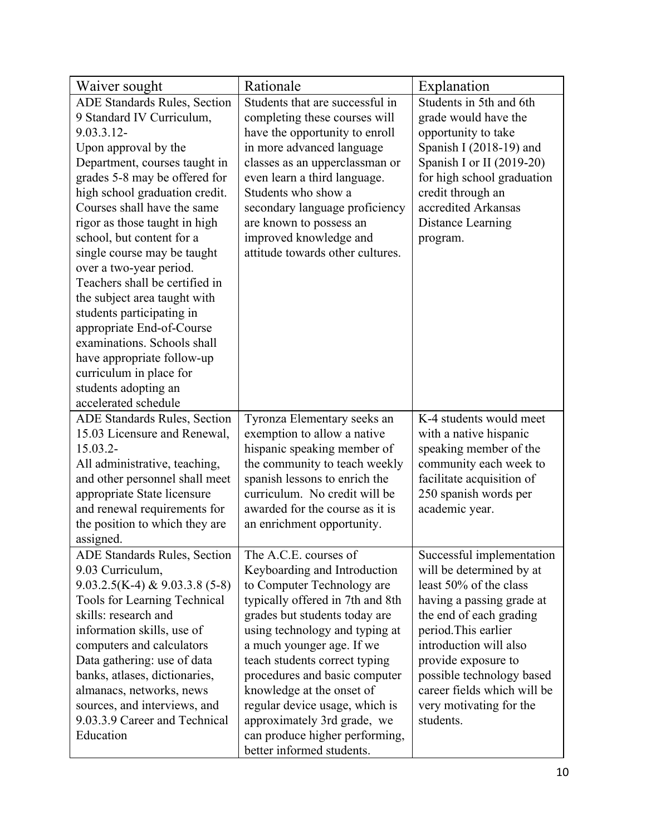| Waiver sought                                                                                                                                                                                                                                                                                                                                                                                                                                                                                                                                                                                                                  | Rationale                                                                                                                                                                                                                                                                                                                                                                                                                                              | Explanation                                                                                                                                                                                                                                                                                                          |
|--------------------------------------------------------------------------------------------------------------------------------------------------------------------------------------------------------------------------------------------------------------------------------------------------------------------------------------------------------------------------------------------------------------------------------------------------------------------------------------------------------------------------------------------------------------------------------------------------------------------------------|--------------------------------------------------------------------------------------------------------------------------------------------------------------------------------------------------------------------------------------------------------------------------------------------------------------------------------------------------------------------------------------------------------------------------------------------------------|----------------------------------------------------------------------------------------------------------------------------------------------------------------------------------------------------------------------------------------------------------------------------------------------------------------------|
| ADE Standards Rules, Section<br>9 Standard IV Curriculum,<br>9.03.3.12-<br>Upon approval by the<br>Department, courses taught in<br>grades 5-8 may be offered for<br>high school graduation credit.<br>Courses shall have the same<br>rigor as those taught in high<br>school, but content for a<br>single course may be taught<br>over a two-year period.<br>Teachers shall be certified in<br>the subject area taught with<br>students participating in<br>appropriate End-of-Course<br>examinations. Schools shall<br>have appropriate follow-up<br>curriculum in place for<br>students adopting an<br>accelerated schedule | Students that are successful in<br>completing these courses will<br>have the opportunity to enroll<br>in more advanced language<br>classes as an upperclassman or<br>even learn a third language.<br>Students who show a<br>secondary language proficiency<br>are known to possess an<br>improved knowledge and<br>attitude towards other cultures.                                                                                                    | Students in 5th and 6th<br>grade would have the<br>opportunity to take<br>Spanish I $(2018-19)$ and<br>Spanish I or II (2019-20)<br>for high school graduation<br>credit through an<br>accredited Arkansas<br>Distance Learning<br>program.                                                                          |
| <b>ADE Standards Rules, Section</b><br>15.03 Licensure and Renewal,<br>$15.03.2 -$<br>All administrative, teaching,<br>and other personnel shall meet<br>appropriate State licensure<br>and renewal requirements for<br>the position to which they are<br>assigned.                                                                                                                                                                                                                                                                                                                                                            | Tyronza Elementary seeks an<br>exemption to allow a native<br>hispanic speaking member of<br>the community to teach weekly<br>spanish lessons to enrich the<br>curriculum. No credit will be<br>awarded for the course as it is<br>an enrichment opportunity.                                                                                                                                                                                          | K-4 students would meet<br>with a native hispanic<br>speaking member of the<br>community each week to<br>facilitate acquisition of<br>250 spanish words per<br>academic year.                                                                                                                                        |
| <b>ADE Standards Rules, Section</b><br>9.03 Curriculum,<br>$9.03.2.5(K-4)$ & $9.03.3.8(5-8)$<br><b>Tools for Learning Technical</b><br>skills: research and<br>information skills, use of<br>computers and calculators<br>Data gathering: use of data<br>banks, atlases, dictionaries,<br>almanacs, networks, news<br>sources, and interviews, and<br>9.03.3.9 Career and Technical<br>Education                                                                                                                                                                                                                               | The A.C.E. courses of<br>Keyboarding and Introduction<br>to Computer Technology are<br>typically offered in 7th and 8th<br>grades but students today are<br>using technology and typing at<br>a much younger age. If we<br>teach students correct typing<br>procedures and basic computer<br>knowledge at the onset of<br>regular device usage, which is<br>approximately 3rd grade, we<br>can produce higher performing,<br>better informed students. | Successful implementation<br>will be determined by at<br>least 50% of the class<br>having a passing grade at<br>the end of each grading<br>period. This earlier<br>introduction will also<br>provide exposure to<br>possible technology based<br>career fields which will be<br>very motivating for the<br>students. |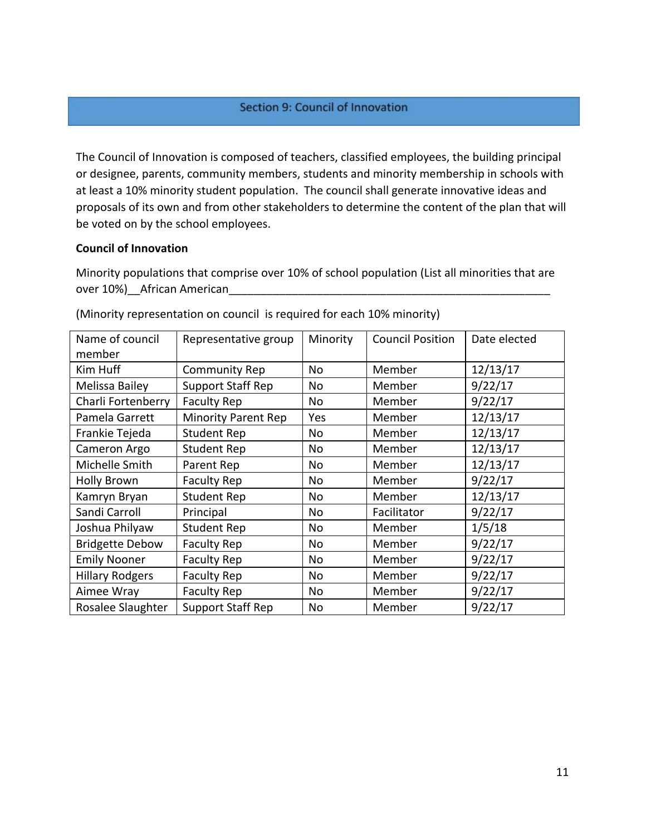#### Section 9: Council of Innovation

The Council of Innovation is composed of teachers, classified employees, the building principal or designee, parents, community members, students and minority membership in schools with at least a 10% minority student population. The council shall generate innovative ideas and proposals of its own and from other stakeholders to determine the content of the plan that will be voted on by the school employees.

#### **Council of Innovation**

Minority populations that comprise over 10% of school population (List all minorities that are over 10%)\_\_African American\_\_\_\_\_\_\_\_\_\_\_\_\_\_\_\_\_\_\_\_\_\_\_\_\_\_\_\_\_\_\_\_\_\_\_\_\_\_\_\_\_\_\_\_\_\_\_\_\_\_\_

| Name of council        | Representative group       | Minority  | <b>Council Position</b> | Date elected |
|------------------------|----------------------------|-----------|-------------------------|--------------|
| member                 |                            |           |                         |              |
| Kim Huff               | <b>Community Rep</b>       | No        | Member                  | 12/13/17     |
| Melissa Bailey         | Support Staff Rep          | No        | Member                  | 9/22/17      |
| Charli Fortenberry     | <b>Faculty Rep</b>         | No        | Member                  | 9/22/17      |
| Pamela Garrett         | <b>Minority Parent Rep</b> | Yes       | Member                  | 12/13/17     |
| Frankie Tejeda         | <b>Student Rep</b>         | <b>No</b> | Member                  | 12/13/17     |
| Cameron Argo           | <b>Student Rep</b>         | No        | Member                  | 12/13/17     |
| Michelle Smith         | Parent Rep                 | No        | Member                  | 12/13/17     |
| <b>Holly Brown</b>     | <b>Faculty Rep</b>         | No        | Member                  | 9/22/17      |
| Kamryn Bryan           | <b>Student Rep</b>         | No        | Member                  | 12/13/17     |
| Sandi Carroll          | Principal                  | <b>No</b> | Facilitator             | 9/22/17      |
| Joshua Philyaw         | <b>Student Rep</b>         | No        | Member                  | 1/5/18       |
| <b>Bridgette Debow</b> | <b>Faculty Rep</b>         | <b>No</b> | Member                  | 9/22/17      |
| <b>Emily Nooner</b>    | <b>Faculty Rep</b>         | No        | Member                  | 9/22/17      |
| <b>Hillary Rodgers</b> | <b>Faculty Rep</b>         | No        | Member                  | 9/22/17      |
| Aimee Wray             | <b>Faculty Rep</b>         | No        | Member                  | 9/22/17      |
| Rosalee Slaughter      | <b>Support Staff Rep</b>   | No        | Member                  | 9/22/17      |

(Minority representation on council is required for each 10% minority)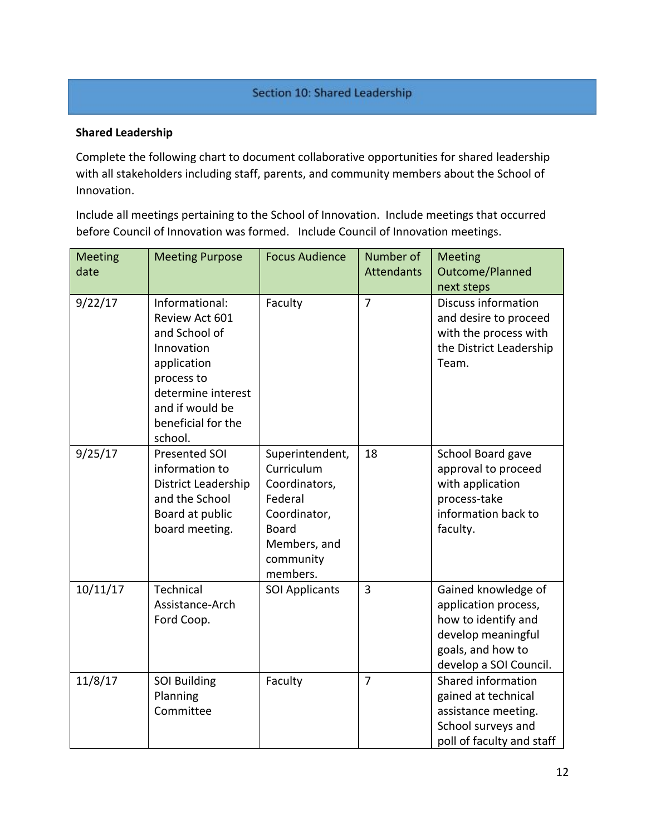#### Section 10: Shared Leadership

#### **Shared Leadership**

Complete the following chart to document collaborative opportunities for shared leadership with all stakeholders including staff, parents, and community members about the School of Innovation.

Include all meetings pertaining to the School of Innovation. Include meetings that occurred before Council of Innovation was formed. Include Council of Innovation meetings.

| <b>Meeting</b><br>date | <b>Meeting Purpose</b>                                                                                                                                                 | <b>Focus Audience</b>                                                                                                              | Number of<br><b>Attendants</b> | <b>Meeting</b><br>Outcome/Planned<br>next steps                                                                                         |
|------------------------|------------------------------------------------------------------------------------------------------------------------------------------------------------------------|------------------------------------------------------------------------------------------------------------------------------------|--------------------------------|-----------------------------------------------------------------------------------------------------------------------------------------|
| 9/22/17                | Informational:<br>Review Act 601<br>and School of<br>Innovation<br>application<br>process to<br>determine interest<br>and if would be<br>beneficial for the<br>school. | Faculty                                                                                                                            | $\overline{7}$                 | Discuss information<br>and desire to proceed<br>with the process with<br>the District Leadership<br>Team.                               |
| 9/25/17                | Presented SOI<br>information to<br>District Leadership<br>and the School<br>Board at public<br>board meeting.                                                          | Superintendent,<br>Curriculum<br>Coordinators,<br>Federal<br>Coordinator,<br><b>Board</b><br>Members, and<br>community<br>members. | 18                             | School Board gave<br>approval to proceed<br>with application<br>process-take<br>information back to<br>faculty.                         |
| 10/11/17               | Technical<br>Assistance-Arch<br>Ford Coop.                                                                                                                             | <b>SOI Applicants</b>                                                                                                              | $\overline{3}$                 | Gained knowledge of<br>application process,<br>how to identify and<br>develop meaningful<br>goals, and how to<br>develop a SOI Council. |
| 11/8/17                | <b>SOI Building</b><br>Planning<br>Committee                                                                                                                           | Faculty                                                                                                                            | $\overline{7}$                 | Shared information<br>gained at technical<br>assistance meeting.<br>School surveys and<br>poll of faculty and staff                     |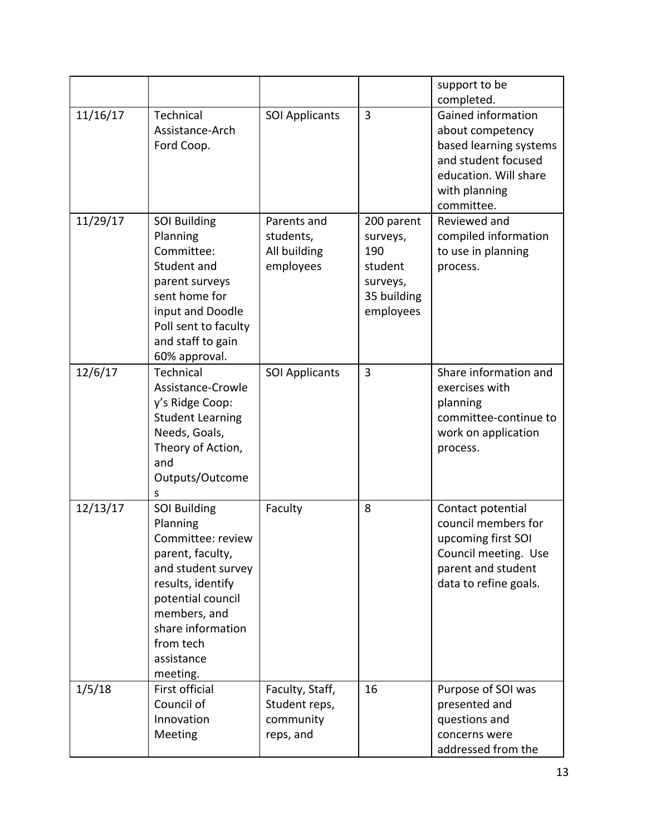|          |                                                                                                                                                                                                                      |                                                            |                                                                                  | support to be<br>completed.                                                                                                                            |
|----------|----------------------------------------------------------------------------------------------------------------------------------------------------------------------------------------------------------------------|------------------------------------------------------------|----------------------------------------------------------------------------------|--------------------------------------------------------------------------------------------------------------------------------------------------------|
| 11/16/17 | Technical<br>Assistance-Arch<br>Ford Coop.                                                                                                                                                                           | <b>SOI Applicants</b>                                      | 3                                                                                | <b>Gained information</b><br>about competency<br>based learning systems<br>and student focused<br>education. Will share<br>with planning<br>committee. |
| 11/29/17 | <b>SOI Building</b><br>Planning<br>Committee:<br>Student and<br>parent surveys<br>sent home for<br>input and Doodle<br>Poll sent to faculty<br>and staff to gain<br>60% approval.                                    | Parents and<br>students,<br>All building<br>employees      | 200 parent<br>surveys,<br>190<br>student<br>surveys,<br>35 building<br>employees | Reviewed and<br>compiled information<br>to use in planning<br>process.                                                                                 |
| 12/6/17  | Technical<br>Assistance-Crowle<br>y's Ridge Coop:<br><b>Student Learning</b><br>Needs, Goals,<br>Theory of Action,<br>and<br>Outputs/Outcome<br>S                                                                    | <b>SOI Applicants</b>                                      | 3                                                                                | Share information and<br>exercises with<br>planning<br>committee-continue to<br>work on application<br>process.                                        |
| 12/13/17 | <b>SOI Building</b><br>Planning<br>Committee: review<br>parent, faculty,<br>and student survey<br>results, identify<br>potential council<br>members, and<br>share information<br>from tech<br>assistance<br>meeting. | Faculty                                                    | 8                                                                                | Contact potential<br>council members for<br>upcoming first SOI<br>Council meeting. Use<br>parent and student<br>data to refine goals.                  |
| 1/5/18   | First official<br>Council of<br>Innovation<br>Meeting                                                                                                                                                                | Faculty, Staff,<br>Student reps,<br>community<br>reps, and | 16                                                                               | Purpose of SOI was<br>presented and<br>questions and<br>concerns were<br>addressed from the                                                            |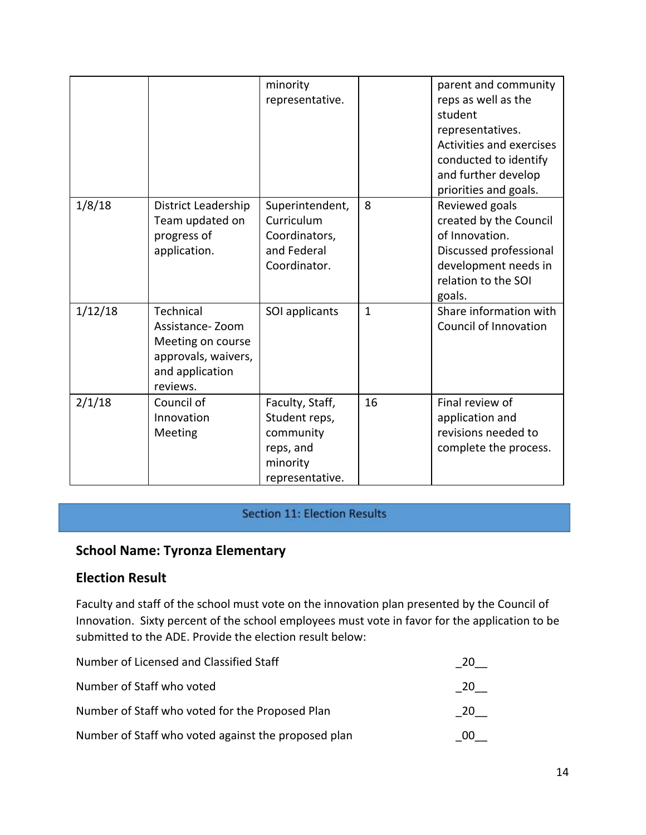|         |                                                                                                         | minority<br>representative.                                                               |              | parent and community<br>reps as well as the<br>student<br>representatives.<br>Activities and exercises<br>conducted to identify<br>and further develop<br>priorities and goals. |
|---------|---------------------------------------------------------------------------------------------------------|-------------------------------------------------------------------------------------------|--------------|---------------------------------------------------------------------------------------------------------------------------------------------------------------------------------|
| 1/8/18  | District Leadership<br>Team updated on<br>progress of<br>application.                                   | Superintendent,<br>Curriculum<br>Coordinators,<br>and Federal<br>Coordinator.             | 8            | Reviewed goals<br>created by the Council<br>of Innovation.<br>Discussed professional<br>development needs in<br>relation to the SOI<br>goals.                                   |
| 1/12/18 | Technical<br>Assistance-Zoom<br>Meeting on course<br>approvals, waivers,<br>and application<br>reviews. | SOI applicants                                                                            | $\mathbf{1}$ | Share information with<br>Council of Innovation                                                                                                                                 |
| 2/1/18  | Council of<br>Innovation<br>Meeting                                                                     | Faculty, Staff,<br>Student reps,<br>community<br>reps, and<br>minority<br>representative. | 16           | Final review of<br>application and<br>revisions needed to<br>complete the process.                                                                                              |

#### **Section 11: Election Results**

# **School Name: Tyronza Elementary**

## **Election Result**

Faculty and staff of the school must vote on the innovation plan presented by the Council of Innovation. Sixty percent of the school employees must vote in favor for the application to be submitted to the ADE. Provide the election result below:

| Number of Licensed and Classified Staff             |     |
|-----------------------------------------------------|-----|
| Number of Staff who voted                           | -20 |
| Number of Staff who voted for the Proposed Plan     | 20  |
| Number of Staff who voted against the proposed plan |     |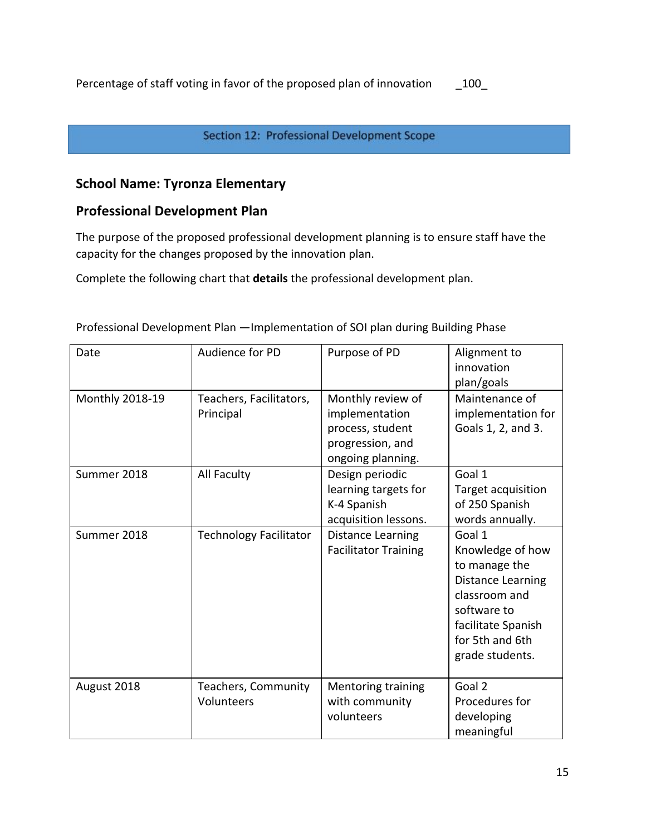#### Section 12: Professional Development Scope

# **School Name: Tyronza Elementary**

# **Professional Development Plan**

The purpose of the proposed professional development planning is to ensure staff have the capacity for the changes proposed by the innovation plan.

Complete the following chart that **details** the professional development plan.

| Date            | Audience for PD                      | Purpose of PD                                                                                    | Alignment to<br>innovation                                                                                                                                          |
|-----------------|--------------------------------------|--------------------------------------------------------------------------------------------------|---------------------------------------------------------------------------------------------------------------------------------------------------------------------|
|                 |                                      |                                                                                                  | plan/goals                                                                                                                                                          |
| Monthly 2018-19 | Teachers, Facilitators,<br>Principal | Monthly review of<br>implementation<br>process, student<br>progression, and<br>ongoing planning. | Maintenance of<br>implementation for<br>Goals 1, 2, and 3.                                                                                                          |
| Summer 2018     | All Faculty                          | Design periodic<br>learning targets for<br>K-4 Spanish<br>acquisition lessons.                   | Goal 1<br>Target acquisition<br>of 250 Spanish<br>words annually.                                                                                                   |
| Summer 2018     | <b>Technology Facilitator</b>        | Distance Learning<br><b>Facilitator Training</b>                                                 | Goal 1<br>Knowledge of how<br>to manage the<br><b>Distance Learning</b><br>classroom and<br>software to<br>facilitate Spanish<br>for 5th and 6th<br>grade students. |
| August 2018     | Teachers, Community<br>Volunteers    | <b>Mentoring training</b><br>with community<br>volunteers                                        | Goal 2<br>Procedures for<br>developing<br>meaningful                                                                                                                |

Professional Development Plan —Implementation of SOI plan during Building Phase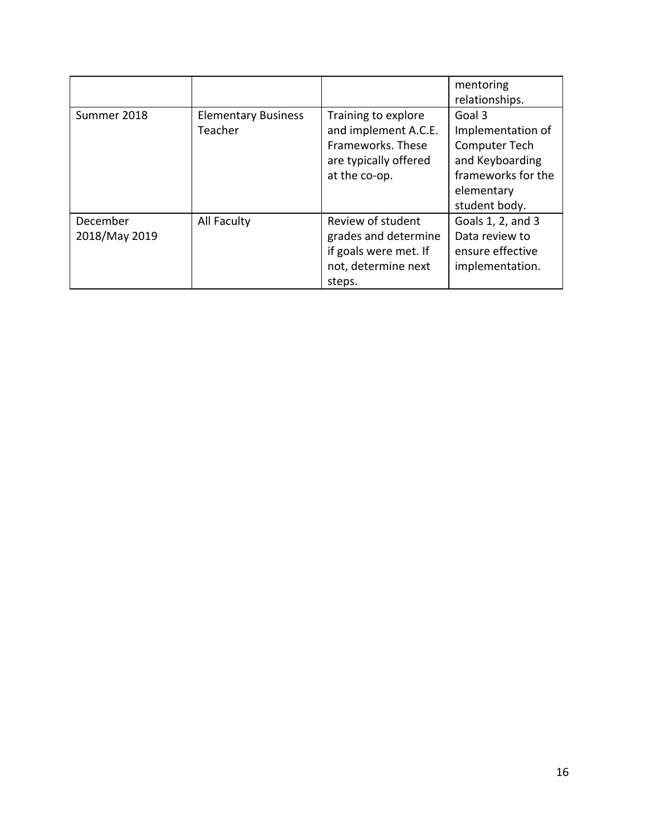|                           |                                       |                                                                                                            | mentoring<br>relationships.                                                                                          |
|---------------------------|---------------------------------------|------------------------------------------------------------------------------------------------------------|----------------------------------------------------------------------------------------------------------------------|
| Summer 2018               | <b>Elementary Business</b><br>Teacher | Training to explore<br>and implement A.C.E.<br>Frameworks. These<br>are typically offered<br>at the co-op. | Goal 3<br>Implementation of<br>Computer Tech<br>and Keyboarding<br>frameworks for the<br>elementary<br>student body. |
| December<br>2018/May 2019 | All Faculty                           | Review of student<br>grades and determine<br>if goals were met. If<br>not, determine next<br>steps.        | Goals 1, 2, and 3<br>Data review to<br>ensure effective<br>implementation.                                           |